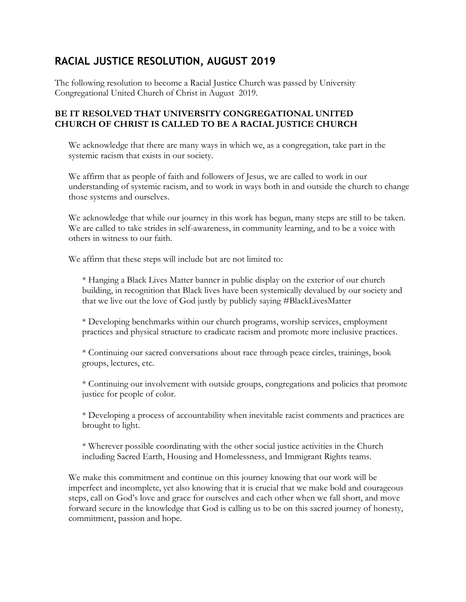## **RACIAL JUSTICE RESOLUTION, AUGUST 2019**

The following resolution to become a Racial Justice Church was passed by University Congregational United Church of Christ in August 2019.

## **BE IT RESOLVED THAT UNIVERSITY CONGREGATIONAL UNITED CHURCH OF CHRIST IS CALLED TO BE A RACIAL JUSTICE CHURCH**

We acknowledge that there are many ways in which we, as a congregation, take part in the systemic racism that exists in our society.

We affirm that as people of faith and followers of Jesus, we are called to work in our understanding of systemic racism, and to work in ways both in and outside the church to change those systems and ourselves.

We acknowledge that while our journey in this work has begun, many steps are still to be taken. We are called to take strides in self-awareness, in community learning, and to be a voice with others in witness to our faith.

We affirm that these steps will include but are not limited to:

\* Hanging a Black Lives Matter banner in public display on the exterior of our church building, in recognition that Black lives have been systemically devalued by our society and that we live out the love of God justly by publicly saying #BlackLivesMatter

\* Developing benchmarks within our church programs, worship services, employment practices and physical structure to eradicate racism and promote more inclusive practices.

\* Continuing our sacred conversations about race through peace circles, trainings, book groups, lectures, etc.

\* Continuing our involvement with outside groups, congregations and policies that promote justice for people of color.

\* Developing a process of accountability when inevitable racist comments and practices are brought to light.

\* Wherever possible coordinating with the other social justice activities in the Church including Sacred Earth, Housing and Homelessness, and Immigrant Rights teams.

We make this commitment and continue on this journey knowing that our work will be imperfect and incomplete, yet also knowing that it is crucial that we make bold and courageous steps, call on God's love and grace for ourselves and each other when we fall short, and move forward secure in the knowledge that God is calling us to be on this sacred journey of honesty, commitment, passion and hope.